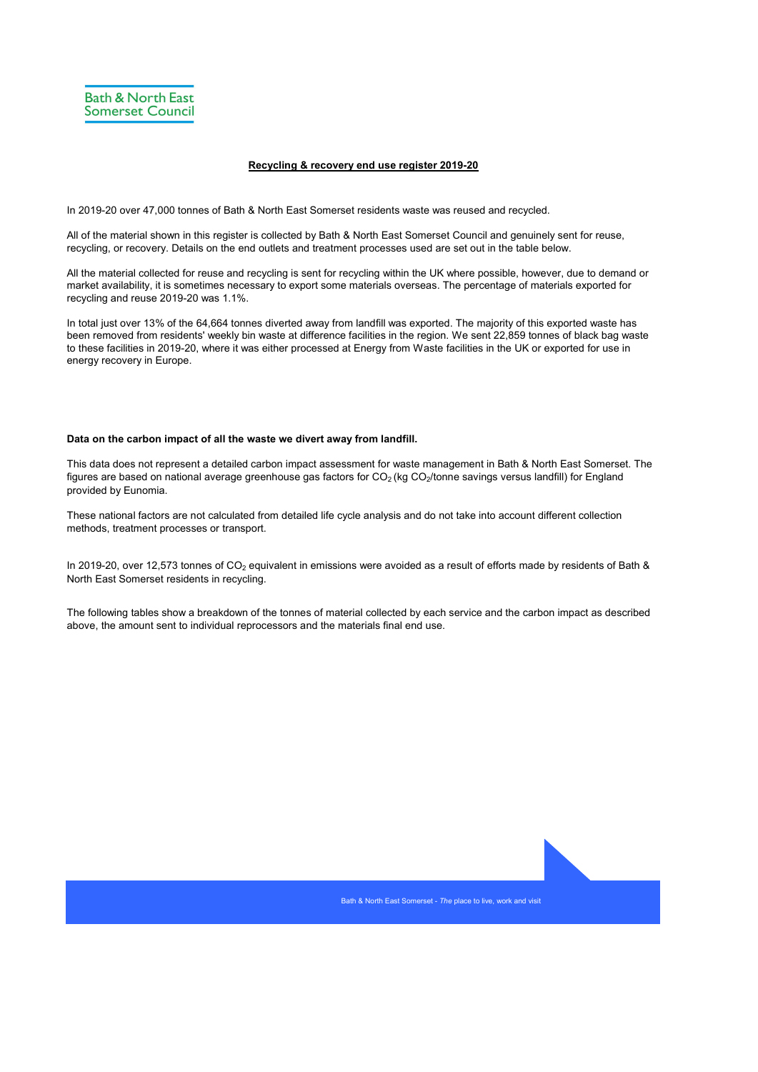## Recycling & recovery end use register 2019-20

In 2019-20 over 47,000 tonnes of Bath & North East Somerset residents waste was reused and recycled.

All of the material shown in this register is collected by Bath & North East Somerset Council and genuinely sent for reuse, recycling, or recovery. Details on the end outlets and treatment processes used are set out in the table below.

All the material collected for reuse and recycling is sent for recycling within the UK where possible, however, due to demand or market availability, it is sometimes necessary to export some materials overseas. The percentage of materials exported for recycling and reuse 2019-20 was 1.1%.

In total just over 13% of the 64,664 tonnes diverted away from landfill was exported. The majority of this exported waste has been removed from residents' weekly bin waste at difference facilities in the region. We sent 22,859 tonnes of black bag waste to these facilities in 2019-20, where it was either processed at Energy from Waste facilities in the UK or exported for use in energy recovery in Europe.

## Data on the carbon impact of all the waste we divert away from landfill.

This data does not represent a detailed carbon impact assessment for waste management in Bath & North East Somerset. The figures are based on national average greenhouse gas factors for CO $_2$ (kg CO $_2$ /tonne savings versus landfill) for England provided by Eunomia.

These national factors are not calculated from detailed life cycle analysis and do not take into account different collection methods, treatment processes or transport.

In 2019-20, over 12,573 tonnes of CO $_2$  equivalent in emissions were avoided as a result of efforts made by residents of Bath & North East Somerset residents in recycling.

The following tables show a breakdown of the tonnes of material collected by each service and the carbon impact as described above, the amount sent to individual reprocessors and the materials final end use.

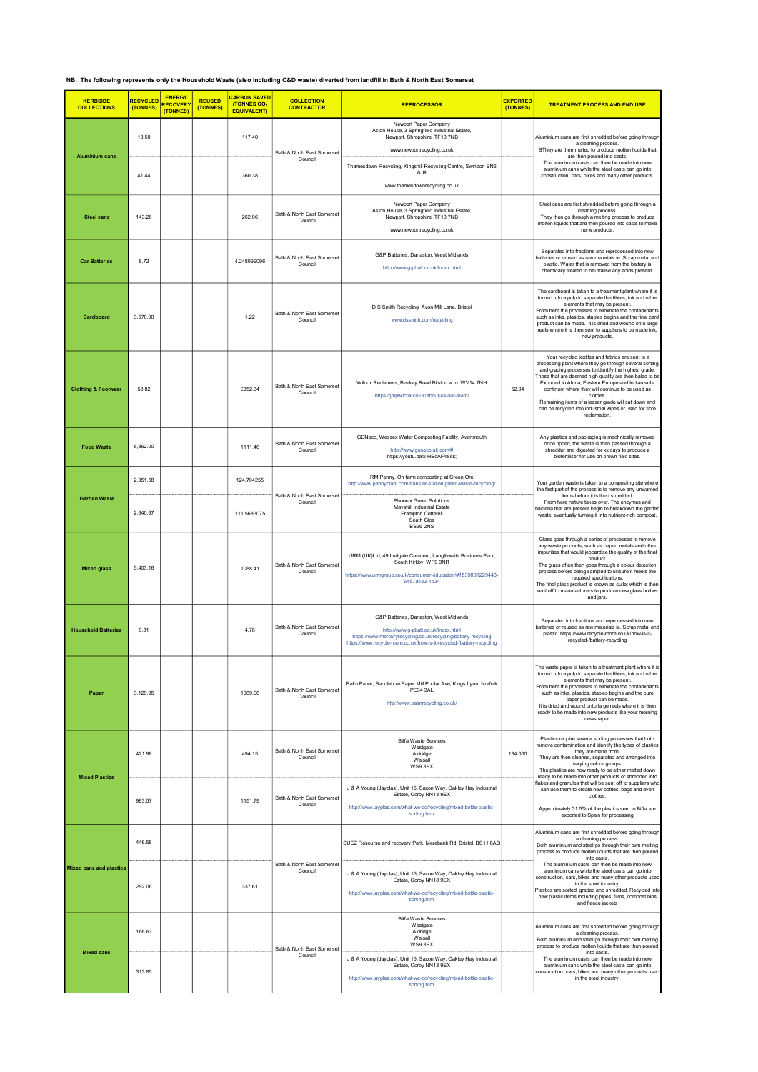## NB. The following represents only the Household Waste (also including C&D waste) diverted from landfill in Bath & North East Somerset

| <b>KERBSIDE</b><br><b>COLLECTIONS</b> | <b>RECYCLED</b><br>(TONNES) | <b>ENERGY</b><br><b>RECOVERY</b><br>(TONNES) | <b>REUSED</b><br>(TONNES) | <b>CARBON SAVED</b><br>(TONNES CO2<br><b>EQUIVALENT)</b> | <b>COLLECTION</b><br><b>CONTRACTOR</b> | <b>REPROCESSOR</b>                                                                                                                                                                                                       | <b>EXPORTED</b><br>(TONNES) | <b>TREATMENT PROCESS AND END USE</b>                                                                                                                                                                                                                                                                                                                                                                                                                                                  |
|---------------------------------------|-----------------------------|----------------------------------------------|---------------------------|----------------------------------------------------------|----------------------------------------|--------------------------------------------------------------------------------------------------------------------------------------------------------------------------------------------------------------------------|-----------------------------|---------------------------------------------------------------------------------------------------------------------------------------------------------------------------------------------------------------------------------------------------------------------------------------------------------------------------------------------------------------------------------------------------------------------------------------------------------------------------------------|
|                                       | 13.50                       |                                              |                           | 117.40                                                   | Bath & North East Somerset<br>Council  | Newport Paper Company<br>Aston House, 3 Springfield Industrial Estate,<br>Newport, Shropshire, TF10 7NB<br>www.newportrecycling.co.uk                                                                                    |                             | Aluminium cans are first shredded before going through<br>a cleaning process.<br>BThey are then melted to produce molten liquids that<br>are then poured into casts.<br>The aluminium casts can then be made into new<br>aluminium cans while the steel casts can go into<br>construction, cars, bikes and many other products.                                                                                                                                                       |
| <b>Aluminium cans</b>                 | 41.44                       |                                              |                           | 360.38                                                   |                                        | Thamesdown Recycling, Kingshill Recycling Centre, Swindon SN6<br>6JR<br>www.thamesdownrecycling.co.uk                                                                                                                    |                             |                                                                                                                                                                                                                                                                                                                                                                                                                                                                                       |
| <b>Steel cans</b>                     | 143.26                      |                                              |                           | 262.06                                                   | Bath & North East Somerset<br>Council  | Newport Paper Company<br>Aston House, 3 Springfield Industrial Estate,<br>Newport, Shropshire, TF10 7NB<br>www.newportrecycling.co.uk                                                                                    |                             | Steel cans are first shredded before going through a<br>cleaning process.<br>They then go through a melting process to produce<br>molten liquids that are then poured into casts to make<br>nerw products.                                                                                                                                                                                                                                                                            |
| <b>Car Batteries</b>                  | 8.72                        |                                              |                           | 4.248099096                                              | Bath & North East Somerset<br>Council  | G&P Batteries, Darlaston, West Midlands<br>http://www.g-pbatt.co.uk/index.html                                                                                                                                           |                             | Separated into fractions and reprocessed into new<br>batteries or reused as raw materials ie. Scrap metal and<br>plastic. Water that is removed from the battery is<br>chemically treated to neutralise any acids present.                                                                                                                                                                                                                                                            |
| Cardboard                             | 3,570.90                    |                                              |                           | 1.22                                                     | Bath & North East Somerset<br>Council  | D S Smith Recycling, Avon Mill Lane, Bristol<br>www.dssmith.com/recycling                                                                                                                                                |                             | The cardboard is taken to a treatment plant where it is<br>turned into a pulp to separate the fibres, ink and other<br>elements that may be present.<br>From here the processes to eliminate the contaminants<br>such as inks, plastics, staples begins and the final card<br>product can be made. It is dried and wound onto large<br>reels where it is then sent to suppliers to be made into<br>new products.                                                                      |
| <b>Clothing &amp; Footwear</b>        | 58.82                       |                                              |                           | £352.34                                                  | Bath & North East Somerset<br>Council  | Wilcox Reclamers, Beldray Road Bilston w.m. WV14 7NH<br>https://jmpwilcox.co.uk/about-us/our-team/                                                                                                                       | 52.94                       | Your recycled textiles and fabrics are sent to a<br>processing plant where they go through several sorting<br>and grading processes to identify the highest grade.<br>Those that are deemed high quality are then baled to be<br>Exported to Africa, Eastern Europe and Indian sub-<br>continent where they will continue to be used as<br>clothes.<br>Remaining items of a lesser grade will cut down and<br>can be recycled into industrial wipes or used for fibre<br>reclamation. |
| <b>Food Waste</b>                     | 6,862.00                    |                                              |                           | 1111.46                                                  | Bath & North East Somerset<br>Council  | GENeco, Wessex Water Composting Facility, Avonmouth<br>http://www.geneco.uk.com/#<br>https://youtu.be/x-HEdAF48ek;                                                                                                       |                             | Any plastics and packaging is mechnically removed<br>once tipped, the waste is then passed through a<br>shredder and digested for xx days to produce a<br>biofertiliser for use on brown field sites.                                                                                                                                                                                                                                                                                 |
| <b>Garden Waste</b>                   | 2,951.58                    |                                              |                           | 124.704255                                               | Bath & North East Somerset             | RM Penny. On farm composting at Green Ore<br>http://www.pennyplant.com/transfer-station/green-waste-recycling/<br>Phoenix Green Solutions                                                                                |                             | Your garden waste is taken to a composting site where<br>the first part of the process is to remove any unwanted<br>items before it is then shredded.<br>From here nature takes over. The enzymes and<br>bacteria that are present begin to breakdown the garden<br>waste, eventually turning it into nutrient-rich compost.                                                                                                                                                          |
|                                       | 2640.67                     |                                              |                           | 111.5683075                                              | Council                                | Mayshill Industrial Estate<br>Frampton Cotterell<br>South Glos<br><b>BS36 2NS</b>                                                                                                                                        |                             |                                                                                                                                                                                                                                                                                                                                                                                                                                                                                       |
| <b>Mixed glass</b>                    | 5.403.16                    |                                              |                           | 1088.41                                                  | Bath & North East Somerset<br>Council  | URM (UK)Ltd, 49 Ludgate Crescent, Langthwaite Business Park,<br>South Kirkby, WF9 3NR<br>https://www.urmgroup.co.uk/consumer-education/#1539831229443-<br>6457d422-1b34                                                  |                             | Glass goes through a series of processes to remove<br>any waste products, such as paper, metals and other<br>impurities that would jeopardise the quality of the final<br>product.<br>The glass often then goes through a colour detection<br>process before being sampled to unsure it meets the<br>required specifications.<br>The final glass product is known as cullet which is then<br>sent off to manufacturers to produce new glass bottles<br>and jars.                      |
| <b>Household Batteries</b>            | 9.81                        |                                              |                           | 4.78                                                     | Bath & North East Somerset<br>Council  | G&P Batteries, Darlaston, West Midlands<br>http://www.g-pbatt.co.uk/index.html<br>https://www.mercuryrecycling.co.uk/recycling/battery-recycling<br>https://www.recycle-more.co.uk/how-is-it-recycled-/battery-recycling |                             | Separated into fractions and reprocessed into new<br>batteries or reused as raw materials ie. Scrap metal and<br>plastic. https://www.recycle-more.co.uk/how-is-it-<br>recycled-/battery-recycling                                                                                                                                                                                                                                                                                    |
| Paper                                 | 3.129.95                    |                                              |                           | 1069.96                                                  | Bath & North East Somerset<br>Council  | Palm Paper, Saddlebow Paper Mill Poplar Ave, Kings Lynn. Norfolk<br><b>PE34 3AL</b><br>http://www.palmrecycling.co.uk/                                                                                                   |                             | The waste paper is taken to a treatment plant where it is<br>turned into a pulp to separate the fibres, ink and other<br>elements that may be present.<br>From here the processes to eliminate the contaminants<br>such as inks, plastics, staples begins and the pure<br>paper product can be made.<br>It is dried and wound onto large reels where it is then<br>ready to be made into new products like your morning<br>newspaper.                                                 |
| <b>Mixed Plastics</b>                 | 421.98                      |                                              |                           | 494.15                                                   | Bath & North East Somerset<br>Council  | <b>Biffa Waste Services</b><br>Westgate<br>Aldridge<br>Walsall<br>WS98EX                                                                                                                                                 | 134.000                     | Plastics require several sorting processes that both<br>remove contamination and identify the types of plastics<br>they are made from.<br>They are then cleaned, separated and arranged into<br>varying colour groups.<br>The plastics are now ready to be either melted down<br>ready to be made into other products or shredded into                                                                                                                                                |
|                                       | 983.57                      |                                              |                           | 1151.79                                                  | Bath & North East Somerset<br>Council  | J & A Young (Jayplas), Unit 15, Saxon Way, Oakley Hay Industrial<br>Estate, Corby NN18 9EX<br>http://www.jayplas.com/what-we-do/recycling/mixed-bottle-plastic-<br>sorting.html                                          |                             | lakes and granules that will be sent off to suppliers who<br>can use them to create new bottles, bags and even<br>clothes.<br>Approximately 31.5% of the plastics sent to Biffa are<br>exported to Spain for processing                                                                                                                                                                                                                                                               |
| <b>Mixed cans and plastics</b>        | 446.58                      |                                              |                           |                                                          | Bath & North East Somerset<br>Council  | SUEZ Resourse and recovery Park, Merebank Rd, Bristol, BS11 8AQ                                                                                                                                                          |                             | Aluminium cans are first shredded before going through<br>a cleaning process.<br>Both aluminium and steel go through their own melting<br>process to produce molten liquids that are then poured<br>into casts.                                                                                                                                                                                                                                                                       |
|                                       | 292.06                      |                                              |                           | 337.61                                                   |                                        | J & A Young (Jayplas), Unit 15, Saxon Way, Oakley Hay Industrial<br>Estate, Corby NN18 9EX<br>http://www.jayplas.com/what-we-do/recycling/mixed-bottle-plastic-<br>sorting.html                                          |                             | The aluminium casts can then be made into new<br>aluminium cans while the steel casts can go into<br>construction, cars, bikes and many other products used<br>in the steel industry.<br>Plastics are sorted, graded and shredded. Recycled into<br>new plastic items including pipes, films, compost bins<br>and fleece jackets                                                                                                                                                      |
| <b>Mixed cans</b>                     | 166.63                      |                                              |                           |                                                          | Bath & North East Somerset<br>Council  | <b>Biffa Waste Services</b><br>Westgate<br>Aldridge<br>Walsall<br>WS98EX                                                                                                                                                 |                             | Aluminium cans are first shredded before going through<br>a cleaning process.<br>Both aluminium and steel go through their own melting<br>process to produce molten liquids that are then poured                                                                                                                                                                                                                                                                                      |
|                                       | 313.85                      |                                              |                           |                                                          |                                        | J & A Young (Jayplas), Unit 15, Saxon Way, Oakley Hay Industrial<br>Estate, Corby NN18 9EX<br>http://www.jayplas.com/what-we-do/recycling/mixed-bottle-plastic-                                                          |                             | into casts.<br>The aluminium casts can then be made into new<br>aluminium cans while the steel casts can go into<br>construction, cars, bikes and many other products used<br>in the steel industry.                                                                                                                                                                                                                                                                                  |
|                                       |                             |                                              |                           |                                                          |                                        | sorting.html                                                                                                                                                                                                             |                             |                                                                                                                                                                                                                                                                                                                                                                                                                                                                                       |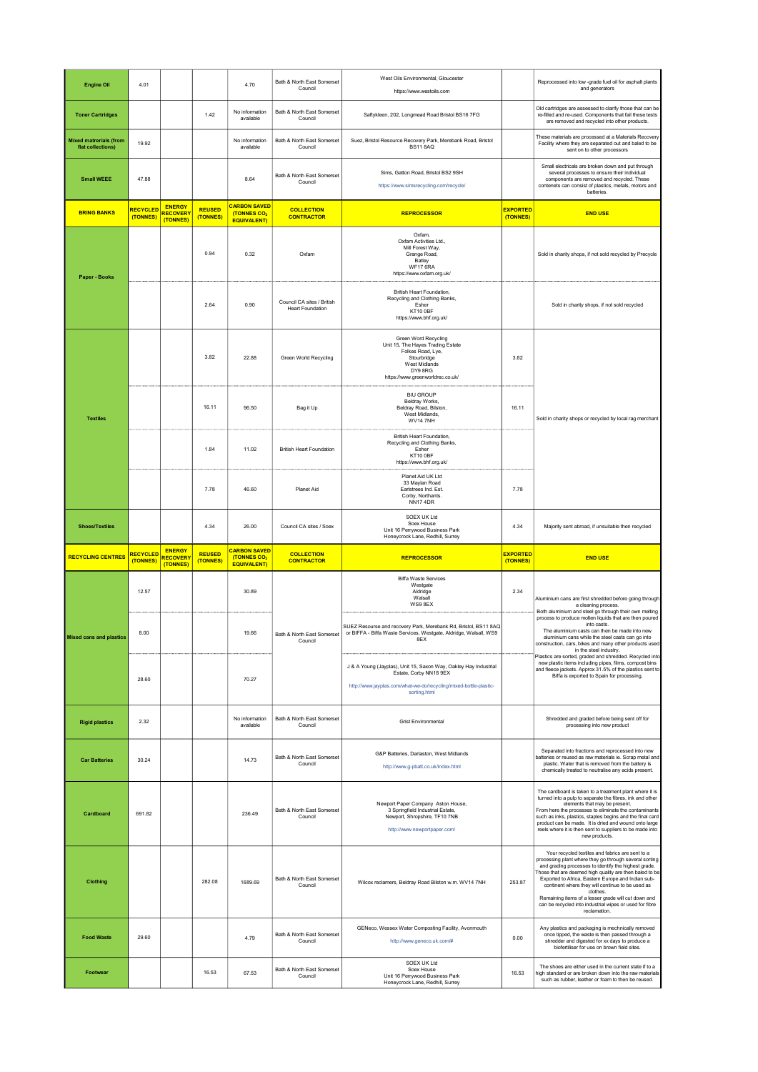| <b>Engine Oil</b>                                  | 4.01                        |                                              |                           | 4.70                                                                 | Bath & North East Somerset<br>Council                 | West Oils Environmental, Gloucester<br>https://www.westoils.com                                                                                                                 |                             | Reprocessed into low -grade fuel oil for asphalt plants<br>and generators                                                                                                                                                                                                                                                                                                                                                                                                             |
|----------------------------------------------------|-----------------------------|----------------------------------------------|---------------------------|----------------------------------------------------------------------|-------------------------------------------------------|---------------------------------------------------------------------------------------------------------------------------------------------------------------------------------|-----------------------------|---------------------------------------------------------------------------------------------------------------------------------------------------------------------------------------------------------------------------------------------------------------------------------------------------------------------------------------------------------------------------------------------------------------------------------------------------------------------------------------|
| <b>Toner Cartridges</b>                            |                             |                                              | 1.42                      | No information<br>available                                          | Bath & North East Somerset<br>Council                 | Saftykleen, 202, Longmead Road Bristol BS16 7FG                                                                                                                                 |                             | Old cartridges are assessed to clarify those that can be<br>re-filled and re-used. Components that fail these tests<br>are removed and recycled into other products.                                                                                                                                                                                                                                                                                                                  |
| <b>Mixed matrerials (from</b><br>flat collections) | 19.92                       |                                              |                           | No information<br>available                                          | Bath & North East Somerset<br>Council                 | Suez, Bristol Resource Recovery Park, Merebank Road, Bristol<br><b>BS118AQ</b>                                                                                                  |                             | These materials are processed at a Materials Recovery<br>Facility where they are separated out and baled to be<br>sent on to other processors                                                                                                                                                                                                                                                                                                                                         |
| <b>Small WEEE</b>                                  | 47.88                       |                                              |                           | 8.64                                                                 | Bath & North East Somerset<br>Council                 | Sims, Gatton Road, Bristol BS2 9SH<br>https://www.simsrecycling.com/recycle/                                                                                                    |                             | Small electricals are broken down and put through<br>several processes to ensure their individual<br>components are removed and recycled. These<br>contenets can consist of plastics, metals, motors and<br>batteries.                                                                                                                                                                                                                                                                |
| <b>BRING BANKS</b>                                 | <b>RECYCLED</b><br>(TONNES) | <b>ENERGY</b><br><b>RECOVERY</b><br>(TONNES) | <b>REUSED</b><br>(TONNES) | <b>CARBON SAVED</b><br>(TONNES CO <sub>2</sub><br><b>EQUIVALENT)</b> | <b>COLLECTION</b><br><b>CONTRACTOR</b>                | <b>REPROCESSOR</b>                                                                                                                                                              | <b>EXPORTED</b><br>(TONNES) | <b>END USE</b>                                                                                                                                                                                                                                                                                                                                                                                                                                                                        |
| Paper - Books                                      |                             |                                              | 0.94                      | 0.32                                                                 | Oxfam                                                 | Oxfam,<br>Oxfam Activities Ltd.,<br>Mill Forest Way,<br>Grange Road,<br>Batley<br><b>WF17 6RA</b><br>https://www.oxfam.org.uk/                                                  |                             | Sold in charity shops, if not sold recycled by Precycle                                                                                                                                                                                                                                                                                                                                                                                                                               |
|                                                    |                             |                                              | 2.64                      | 0.90                                                                 | Council CA sites / British<br><b>Heart Foundation</b> | British Heart Foundation,<br>Recycling and Clothing Banks,<br>Esher<br>KT10 OBF<br>https://www.bhf.org.uk/                                                                      |                             | Sold in charity shops, if not sold recycled                                                                                                                                                                                                                                                                                                                                                                                                                                           |
|                                                    |                             |                                              | 3.82                      | 22.88                                                                | Green World Recycling                                 | Green Word Recycling<br>Unit 15, The Hayes Trading Estate<br>Folkes Road, Lye,<br>Stourbridge<br>West Midlands<br>DY9 8RG<br>https://www.greenworldrec.co.uk/                   | 3.82                        |                                                                                                                                                                                                                                                                                                                                                                                                                                                                                       |
| <b>Textiles</b>                                    |                             |                                              | 16.11                     | 96.50                                                                | Bag it Up                                             | <b>BIU GROUP</b><br>Beldray Works,<br>Beldray Road, Bilston,<br>West Midlands,<br><b>WV14 7NH</b>                                                                               | 16.11                       | Sold in charity shops or recycled by local rag merchant                                                                                                                                                                                                                                                                                                                                                                                                                               |
|                                                    |                             |                                              | 1.84                      | 11.02                                                                | <b>British Heart Foundation</b>                       | British Heart Foundation,<br>Recycling and Clothing Banks,<br>Esher<br>KT10 0BF<br>https://www.bhf.org.uk/                                                                      |                             |                                                                                                                                                                                                                                                                                                                                                                                                                                                                                       |
|                                                    |                             |                                              | 7.78                      | 46.60                                                                | Planet Aid                                            | Planet Aid UK Ltd<br>33 Maylan Road<br>Earlstrees Ind. Est.<br>Corby, Northants.<br><b>NN174DR</b>                                                                              | 7.78                        |                                                                                                                                                                                                                                                                                                                                                                                                                                                                                       |
|                                                    |                             |                                              |                           |                                                                      |                                                       | SOEX UK Ltd<br>Soex House                                                                                                                                                       |                             |                                                                                                                                                                                                                                                                                                                                                                                                                                                                                       |
| <b>Shoes/Textiles</b>                              |                             |                                              | 4.34                      | 26.00                                                                | Council CA sites / Soex                               | Unit 16 Perrywood Business Park<br>Honeycrock Lane, Redhill, Surrey                                                                                                             | 4.34                        | Majority sent abroad, if unsuitable then recycled                                                                                                                                                                                                                                                                                                                                                                                                                                     |
| <b>RECYCLING CENTRES</b>                           | RECYCLED<br>(TONNES)        | <b>ENERGY</b><br><b>RECOVERY</b><br>(TONNES) | <b>REUSED</b><br>(TONNES) | <b>CARBON SAVED</b><br>(TONNES CO2<br><b>EQUIVALENT)</b>             | <b>COLLECTION</b><br><b>CONTRACTOR</b>                | <b>REPROCESSOR</b>                                                                                                                                                              | <b>EXPORTED</b><br>(TONNES) | <b>END USE</b>                                                                                                                                                                                                                                                                                                                                                                                                                                                                        |
|                                                    | 12.57                       |                                              |                           | 30.89                                                                |                                                       | <b>Biffa Waste Services</b><br>Westgate<br>Aldridge<br>Walsall<br>WS98EX                                                                                                        | 2.34                        | Aluminium cans are first shredded before going through<br>a cleaning process.<br>Both aluminium and steel go through their own melting                                                                                                                                                                                                                                                                                                                                                |
| <b>Mixed cans and plastics</b>                     | 8.00                        |                                              |                           | 19.66                                                                | Bath & North East Somerset<br>Cound                   | SUEZ Resourse and recovery Park, Merebank Rd, Bristol, BS11 8AQ<br>or BIFFA - Biffa Waste Services, Westgate, Aldridge, Walsall, WS9<br>8EX                                     |                             | process to produce molten liquids that are then poured<br>into casts<br>The aluminium casts can then be made into new<br>aluminium cans while the steel casts can go into<br>construction, cars, bikes and many other products used                                                                                                                                                                                                                                                   |
|                                                    | 28.60                       |                                              |                           | 70.27                                                                |                                                       | J & A Young (Jayplas), Unit 15, Saxon Way, Oakley Hay Industrial<br>Estate, Corby NN18 9EX<br>http://www.jayplas.com/what-we-do/recycling/mixed-bottle-plastic-<br>sorting.html |                             | in the steel industry.<br>Plastics are sorted, graded and shredded. Recycled into<br>new plastic items including pipes, films, compost bins<br>and fleece jackets. Approx 31.5% of the plastics sent to<br>Biffa is exported to Spain for processing.                                                                                                                                                                                                                                 |
| <b>Rigid plastics</b>                              | 2.32                        |                                              |                           | No information<br>available                                          | Bath & North East Somerset<br>Council                 | <b>Grist Environmental</b>                                                                                                                                                      |                             | Shredded and graded before being sent off for<br>processing into new product                                                                                                                                                                                                                                                                                                                                                                                                          |
| <b>Car Batteries</b>                               | 30.24                       |                                              |                           | 14.73                                                                | Bath & North East Somerset<br>Council                 | G&P Batteries, Darlaston, West Midlands<br>http://www.g-pbatt.co.uk/index.html                                                                                                  |                             | Separated into fractions and reprocessed into new<br>batteries or reused as raw materials ie. Scrap metal and<br>plastic. Water that is removed from the battery is<br>chemically treated to neutralise any acids present.                                                                                                                                                                                                                                                            |
| Cardboard                                          | 691.82                      |                                              |                           | 236.49                                                               | Bath & North East Somerset<br>Council                 | Newport Paper Company Aston House,<br>3 Springfield Industrial Estate,<br>Newport, Shropshire, TF10 7NB<br>http://www.newportpaper.com/                                         |                             | The cardboard is taken to a treatment plant where it is<br>turned into a pulp to separate the fibres, ink and other<br>elements that may be present.<br>From here the processes to eliminate the contaminants<br>such as inks, plastics, staples begins and the final card<br>product can be made. It is dried and wound onto large<br>reels where it is then sent to suppliers to be made into<br>new products.                                                                      |
| Clothing                                           |                             |                                              | 282.08                    | 1689.69                                                              | Bath & North East Somerset<br>Council                 | Wilcox reclamers, Beldray Road Bilston w.m. WV14 7NH                                                                                                                            | 253.87                      | Your recycled textiles and fabrics are sent to a<br>processing plant where they go through several sorting<br>and grading processes to identify the highest grade.<br>Those that are deemed high quality are then baled to be<br>Exported to Africa, Eastern Europe and Indian sub-<br>continent where they will continue to be used as<br>clothes.<br>Remaining items of a lesser grade will cut down and<br>can be recycled into industrial wipes or used for fibre<br>reclamation. |
| <b>Food Waste</b>                                  | 29.60                       |                                              |                           | 4.79                                                                 | Bath & North East Somerset<br>Council                 | GENeco, Wessex Water Composting Facility, Avonmouth<br>http://www.geneco.uk.com/#                                                                                               | 0.00                        | Any plastics and packaging is mechnically removed<br>once tipped, the waste is then passed through a<br>shredder and digested for xx days to produce a<br>biofertiliser for use on brown field sites.                                                                                                                                                                                                                                                                                 |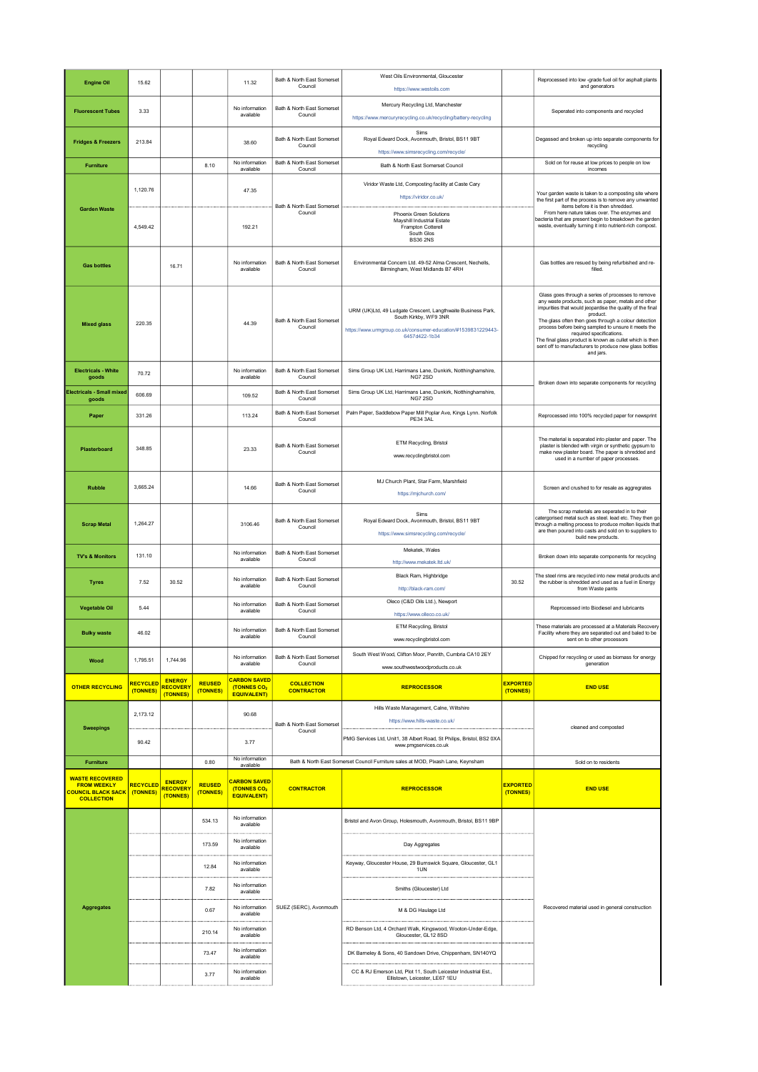| <b>Engine Oil</b>                                                                              | 15.62                       |                                              |                           | 11.32                                                    | Bath & North East Somerset<br>Council  | West Oils Environmental, Gloucester<br>https://www.westoils.com                                                                                                         |                             | Reprocessed into low -grade fuel oil for asphalt plants<br>and generators                                                                                                                                                                                                                                                                                                                                                                                        |
|------------------------------------------------------------------------------------------------|-----------------------------|----------------------------------------------|---------------------------|----------------------------------------------------------|----------------------------------------|-------------------------------------------------------------------------------------------------------------------------------------------------------------------------|-----------------------------|------------------------------------------------------------------------------------------------------------------------------------------------------------------------------------------------------------------------------------------------------------------------------------------------------------------------------------------------------------------------------------------------------------------------------------------------------------------|
| <b>Fluorescent Tubes</b>                                                                       | 3.33                        |                                              |                           | No information<br>available                              | Bath & North East Somerset<br>Council  | Mercury Recycling Ltd, Manchester<br>https://www.mercuryrecycling.co.uk/recycling/battery-recycling                                                                     |                             | Seperated into components and recycled                                                                                                                                                                                                                                                                                                                                                                                                                           |
| <b>Fridges &amp; Freezers</b>                                                                  | 213.84                      |                                              |                           | 38.60                                                    | Bath & North East Somerset<br>Council  | Sims<br>Royal Edward Dock, Avonmouth, Bristol, BS11 9BT<br>https://www.simsrecycling.com/recycle/                                                                       |                             | Degassed and broken up into separate components for<br>recycling                                                                                                                                                                                                                                                                                                                                                                                                 |
| Furniture                                                                                      |                             |                                              | 8.10                      | No information<br>available                              | Bath & North East Somerset<br>Council  | Bath & North East Somerset Council                                                                                                                                      |                             | Sold on for reuse at low prices to people on low<br>incomes                                                                                                                                                                                                                                                                                                                                                                                                      |
| <b>Garden Waste</b>                                                                            | 1,120.76                    |                                              |                           | 47.35                                                    | Bath & North East Somerset             | Viridor Waste Ltd, Composting facility at Caste Cary<br>https://viridor.co.uk/                                                                                          |                             | Your garden waste is taken to a composting site where<br>the first part of the process is to remove any unwanted<br>items before it is then shredded.                                                                                                                                                                                                                                                                                                            |
|                                                                                                | 4,549.42                    |                                              |                           | 192.21                                                   | Council                                | Phoenix Green Solutions<br>Mayshill Industrial Estate<br>Frampton Cotterell<br>South Glos<br><b>BS36 2NS</b>                                                            |                             | From here nature takes over. The enzymes and<br>bacteria that are present begin to breakdown the garden<br>waste, eventually turning it into nutrient-rich compost.                                                                                                                                                                                                                                                                                              |
| <b>Gas bottles</b>                                                                             |                             | 16.71                                        |                           | No information<br>available                              | Bath & North East Somerset<br>Council  | Environmental Concern Ltd. 49-52 Alma Crescent, Nechells,<br>Birmingham, West Midlands B7 4RH                                                                           |                             | Gas bottles are resued by being refurbished and re-<br>filled.                                                                                                                                                                                                                                                                                                                                                                                                   |
| <b>Mixed glass</b>                                                                             | 220.35                      |                                              |                           | 44.39                                                    | Bath & North East Somerset<br>Council  | URM (UK)Ltd, 49 Ludgate Crescent, Langthwaite Business Park,<br>South Kirkby, WF9 3NR<br>https://www.urmgroup.co.uk/consumer-education/#1539831229443-<br>6457d422-1b34 |                             | Glass goes through a series of processes to remove<br>any waste products, such as paper, metals and other<br>impurities that would jeopardise the quality of the final<br>product.<br>The glass often then goes through a colour detection<br>process before being sampled to unsure it meets the<br>required specifications.<br>The final glass product is known as cullet which is then<br>sent off to manufacturers to produce new glass bottles<br>and jars. |
| <b>Electricals - White</b><br>goods                                                            | 70.72                       |                                              |                           | No information<br>available                              | Bath & North East Somerset<br>Council  | Sims Group UK Ltd, Harrimans Lane, Dunkirk, Notthinghamshire,<br><b>NG7 2SD</b>                                                                                         |                             |                                                                                                                                                                                                                                                                                                                                                                                                                                                                  |
| <b>Electricals - Small mixed</b><br>goods                                                      | 606.69                      |                                              |                           | 109.52                                                   | Bath & North East Somerset<br>Council  | Sims Group UK Ltd, Harrimans Lane, Dunkirk, Notthinghamshire,<br>NG7 2SD                                                                                                |                             | Broken down into separate components for recycling                                                                                                                                                                                                                                                                                                                                                                                                               |
| Paper                                                                                          | 331.26                      |                                              |                           | 113.24                                                   | Bath & North East Somerset<br>Council  | Palm Paper, Saddlebow Paper Mill Poplar Ave, Kings Lynn. Norfolk<br><b>PE34 3AL</b>                                                                                     |                             | Reprocessed into 100% recycled paper for newsprint                                                                                                                                                                                                                                                                                                                                                                                                               |
| <b>Plasterboard</b>                                                                            | 348.85                      |                                              |                           | 23.33                                                    | Bath & North East Somerset<br>Council  | ETM Recycling, Bristol<br>www.recyclingbristol.com                                                                                                                      |                             | The material is separated into plaster and paper. The<br>plaster is blended with virgin or synthetic gypsum to<br>make new plaster board. The paper is shredded and<br>used in a number of paper processes.                                                                                                                                                                                                                                                      |
| <b>Rubble</b>                                                                                  | 3,665.24                    |                                              |                           | 14.66                                                    | Bath & North East Somerset<br>Council  | MJ Church Plant, Star Farm, Marshfield<br>https://mjchurch.com/                                                                                                         |                             | Screen and crushed to for resale as aggregrates                                                                                                                                                                                                                                                                                                                                                                                                                  |
| <b>Scrap Metal</b>                                                                             | 1,264.27                    |                                              |                           | 3106.46                                                  | Bath & North East Somerset<br>Council  | Sims<br>Royal Edward Dock, Avonmouth, Bristol, BS11 9BT<br>https://www.simsrecycling.com/recycle/                                                                       |                             | The scrap materials are seperated in to their<br>catergorised metal such as steel. lead etc. They then go<br>through a melting process to produce molten liquids that<br>are then poured into casts and sold on to suppliers to<br>build new products.                                                                                                                                                                                                           |
| <b>TV's &amp; Monitors</b>                                                                     | 131.10                      |                                              |                           | No information<br>available                              | Bath & North East Somerset<br>Council  | Mekatek, Wales<br>http://www.mekatek.ltd.uk/                                                                                                                            |                             | Broken down into separate components for recycling                                                                                                                                                                                                                                                                                                                                                                                                               |
| <b>Tyres</b>                                                                                   | 7.52                        | 30.52                                        |                           | No information<br>available                              | Bath & North East Somerset<br>Council  | Black Ram, Highbridge<br>http://black-ram.com/                                                                                                                          | 30.52                       | The steel rims are recycled into new metal products and<br>the rubber is shredded and used as a fuel in Energy<br>from Waste pants                                                                                                                                                                                                                                                                                                                               |
| Vegetable Oil                                                                                  | 5.44                        |                                              |                           | No information<br>available                              | Bath & North East Somerset<br>Council  | Oleco (C&D Oils Ltd.), Newport<br>https://www.olleco.co.uk/                                                                                                             |                             | Reprocessed into Biodiesel and lubricants                                                                                                                                                                                                                                                                                                                                                                                                                        |
| <b>Bulky waste</b>                                                                             | 46.02                       |                                              |                           | No information<br>available                              | Bath & North East Somerset<br>Council  | ETM Recycling, Bristol<br>www.recyclingbristol.com                                                                                                                      |                             | These materials are processed at a Materials Recovery<br>Facility where they are separated out and baled to be<br>sent on to other processors                                                                                                                                                                                                                                                                                                                    |
| Wood                                                                                           | 1,795.51                    | 1,744.96                                     |                           | No information<br>available                              | Bath & North East Somerset<br>Council  | South West Wood, Clifton Moor, Penrith, Cumbria CA10 2EY<br>www.southwestwoodproducts.co.uk                                                                             |                             | Chipped for recycling or used as biomass for energy<br>generation                                                                                                                                                                                                                                                                                                                                                                                                |
| <b>OTHER RECYCLING</b>                                                                         | RECYCLED<br>(TONNES)        | <b>ENERGY</b><br><b>RECOVERY</b><br>(TONNES) | <b>REUSED</b><br>(TONNES) | <b>CARBON SAVED</b><br>(TONNES CO2<br><b>EQUIVALENT)</b> | <b>COLLECTION</b><br><b>CONTRACTOR</b> | <b>REPROCESSOR</b>                                                                                                                                                      | <b>EXPORTED</b><br>(TONNES) | <b>END USE</b>                                                                                                                                                                                                                                                                                                                                                                                                                                                   |
|                                                                                                | 2,173.12                    |                                              |                           | 90.68                                                    |                                        | Hills Waste Management, Calne, Wiltshire                                                                                                                                |                             |                                                                                                                                                                                                                                                                                                                                                                                                                                                                  |
| <b>Sweepings</b>                                                                               |                             |                                              |                           |                                                          | Bath & North East Somerset<br>Council  | https://www.hills-waste.co.uk/                                                                                                                                          |                             | cleaned and composted                                                                                                                                                                                                                                                                                                                                                                                                                                            |
|                                                                                                | 90.42                       |                                              |                           | 3.77                                                     |                                        | PMG Services Ltd, Unit1, 38 Albert Road, St Philips, Bristol, BS2 0XA<br>www.pmgservices.co.uk                                                                          |                             |                                                                                                                                                                                                                                                                                                                                                                                                                                                                  |
| Furniture                                                                                      |                             |                                              | 0.80                      | No information<br>available                              |                                        | Bath & North East Somerset Council Furniture sales at MOD, Pixash Lane, Keynsham                                                                                        |                             | Sold on to residents                                                                                                                                                                                                                                                                                                                                                                                                                                             |
| <b>WASTE RECOVERED</b><br><b>FROM WEEKLY</b><br><b>COUNCIL BLACK SACK</b><br><b>COLLECTION</b> | <b>RECYCLED</b><br>(TONNES) | <b>ENERGY</b><br><b>RECOVERY</b><br>(TONNES) | <b>REUSED</b><br>(TONNES) | <b>CARBON SAVED</b><br>(TONNES CO2<br><b>EQUIVALENT)</b> | <b>CONTRACTOR</b>                      | <b>REPROCESSOR</b>                                                                                                                                                      | <b>EXPORTED</b><br>(TONNES) | <b>END USE</b>                                                                                                                                                                                                                                                                                                                                                                                                                                                   |
|                                                                                                |                             |                                              | 534.13                    | No information<br>available                              |                                        | Bristol and Avon Group, Holesmouth, Avonmouth, Bristol, BS11 9BP                                                                                                        |                             |                                                                                                                                                                                                                                                                                                                                                                                                                                                                  |
|                                                                                                |                             |                                              | 173.59                    | No information<br>available                              |                                        | Day Aggregates                                                                                                                                                          |                             |                                                                                                                                                                                                                                                                                                                                                                                                                                                                  |
|                                                                                                |                             |                                              | 12.84                     | No information<br>available                              |                                        | Keyway, Gloucester House, 29 Burnswick Square, Gloucester, GL1<br>1UN                                                                                                   |                             |                                                                                                                                                                                                                                                                                                                                                                                                                                                                  |
|                                                                                                |                             |                                              | 7.82                      | No information<br>available                              |                                        | Smiths (Gloucester) Ltd                                                                                                                                                 |                             |                                                                                                                                                                                                                                                                                                                                                                                                                                                                  |
| <b>Aggregates</b>                                                                              |                             |                                              | 0.67                      | No information<br>available                              | SUEZ (SERC), Avonmouth                 | M & DG Haulage Ltd                                                                                                                                                      |                             | Recovered material used in general construction                                                                                                                                                                                                                                                                                                                                                                                                                  |
|                                                                                                |                             |                                              | 210.14                    | No information<br>available                              |                                        | RD Benson Ltd, 4 Orchard Walk, Kingswood, Wooton-Under-Edge,<br>Gloucester, GL12 8SD                                                                                    |                             |                                                                                                                                                                                                                                                                                                                                                                                                                                                                  |
|                                                                                                |                             |                                              | 73.47                     | No information<br>available                              |                                        | DK Barneley & Sons, 40 Sandown Drive, Chippenham, SN140YQ                                                                                                               |                             |                                                                                                                                                                                                                                                                                                                                                                                                                                                                  |
|                                                                                                |                             |                                              | 3.77                      | No information<br>available                              |                                        | CC & RJ Emerson Ltd, Plot 11, South Leicester Industrial Est.,<br>Ellistown, Leicester, LE67 1EU                                                                        |                             |                                                                                                                                                                                                                                                                                                                                                                                                                                                                  |
|                                                                                                |                             |                                              |                           |                                                          |                                        |                                                                                                                                                                         |                             |                                                                                                                                                                                                                                                                                                                                                                                                                                                                  |